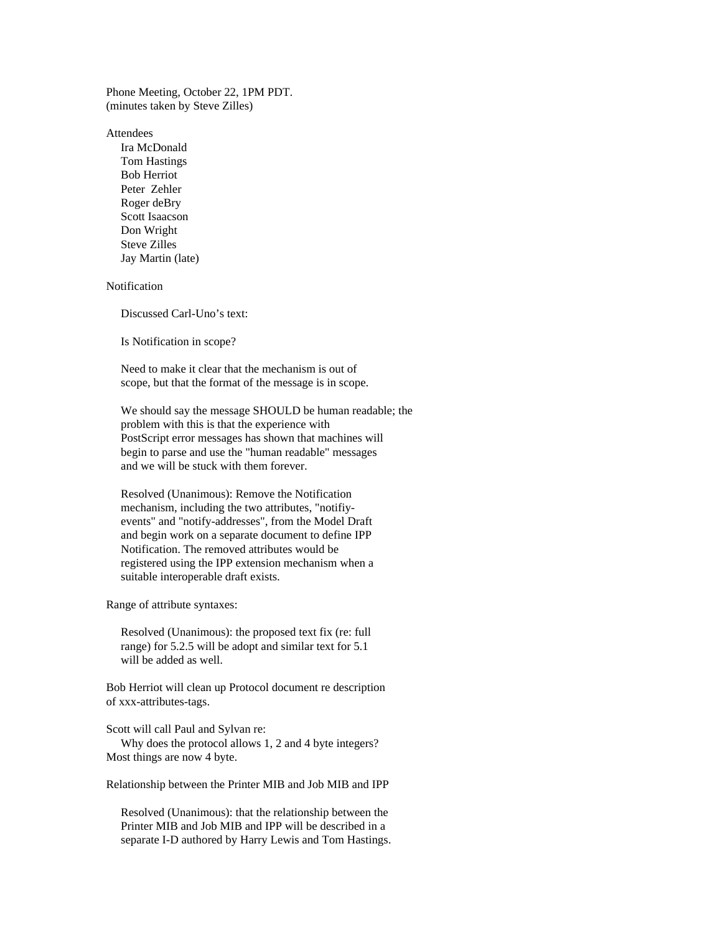Phone Meeting, October 22, 1PM PDT. (minutes taken by Steve Zilles)

Attendees

 Ira McDonald Tom Hastings Bob Herriot Peter Zehler Roger deBry Scott Isaacson Don Wright Steve Zilles Jay Martin (late)

Notification

Discussed Carl-Uno's text:

Is Notification in scope?

 Need to make it clear that the mechanism is out of scope, but that the format of the message is in scope.

 We should say the message SHOULD be human readable; the problem with this is that the experience with PostScript error messages has shown that machines will begin to parse and use the "human readable" messages and we will be stuck with them forever.

 Resolved (Unanimous): Remove the Notification mechanism, including the two attributes, "notifiy events" and "notify-addresses", from the Model Draft and begin work on a separate document to define IPP Notification. The removed attributes would be registered using the IPP extension mechanism when a suitable interoperable draft exists.

Range of attribute syntaxes:

 Resolved (Unanimous): the proposed text fix (re: full range) for 5.2.5 will be adopt and similar text for 5.1 will be added as well.

Bob Herriot will clean up Protocol document re description of xxx-attributes-tags.

Scott will call Paul and Sylvan re:

 Why does the protocol allows 1, 2 and 4 byte integers? Most things are now 4 byte.

Relationship between the Printer MIB and Job MIB and IPP

 Resolved (Unanimous): that the relationship between the Printer MIB and Job MIB and IPP will be described in a separate I-D authored by Harry Lewis and Tom Hastings.